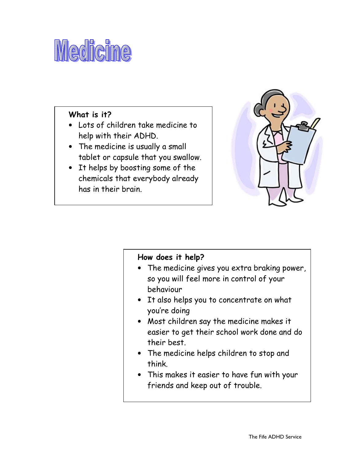# Medicine

## What is it?

- Lots of children take medicine to help with their ADHD.
- The medicine is usually a small tablet or capsule that you swallow.
- It helps by boosting some of the chemicals that everybody already has in their brain.



### How does it help?

- The medicine gives you extra braking power, so you will feel more in control of your behaviour
- It also helps you to concentrate on what you're doing
- Most children say the medicine makes it easier to get their school work done and do their best.
- The medicine helps children to stop and think.
- This makes it easier to have fun with your friends and keep out of trouble.